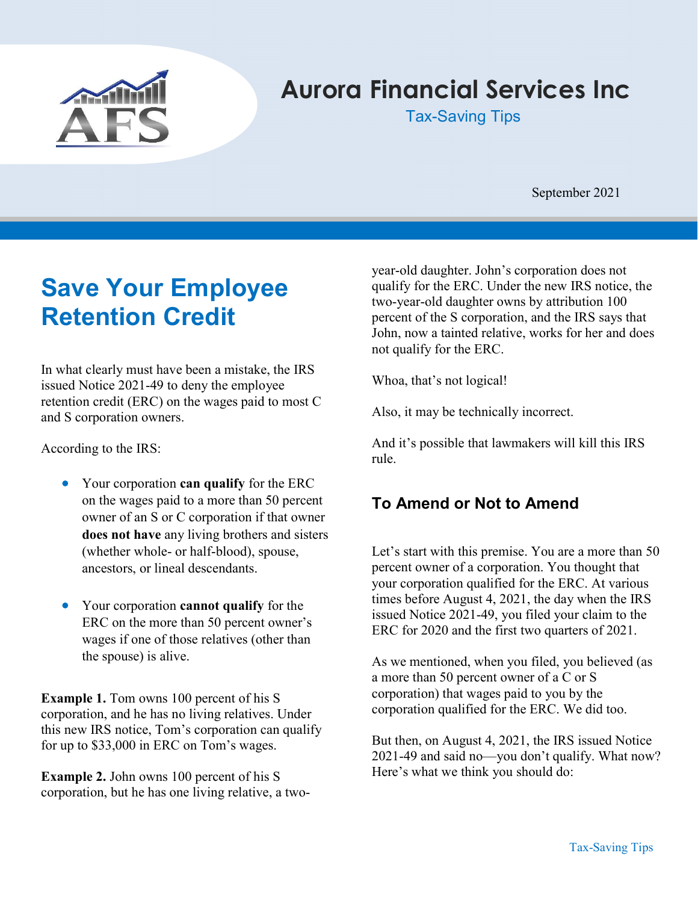

# Aurora Financial Services Inc

Tax-Saving Tips

September 2021

## Save Your Employee Retention Credit

In what clearly must have been a mistake, the IRS issued Notice 2021-49 to deny the employee retention credit (ERC) on the wages paid to most C and S corporation owners.

According to the IRS:

- Your corporation can qualify for the ERC on the wages paid to a more than 50 percent owner of an S or C corporation if that owner does not have any living brothers and sisters (whether whole- or half-blood), spouse, ancestors, or lineal descendants.
- Your corporation **cannot qualify** for the ERC on the more than 50 percent owner's wages if one of those relatives (other than the spouse) is alive.

Example 1. Tom owns 100 percent of his S corporation, and he has no living relatives. Under this new IRS notice, Tom's corporation can qualify for up to \$33,000 in ERC on Tom's wages.

Example 2. John owns 100 percent of his S corporation, but he has one living relative, a twoyear-old daughter. John's corporation does not qualify for the ERC. Under the new IRS notice, the two-year-old daughter owns by attribution 100 percent of the S corporation, and the IRS says that John, now a tainted relative, works for her and does not qualify for the ERC.

Whoa, that's not logical!

Also, it may be technically incorrect.

And it's possible that lawmakers will kill this IRS rule.

### To Amend or Not to Amend

Let's start with this premise. You are a more than 50 percent owner of a corporation. You thought that your corporation qualified for the ERC. At various times before August 4, 2021, the day when the IRS issued Notice 2021-49, you filed your claim to the ERC for 2020 and the first two quarters of 2021.

As we mentioned, when you filed, you believed (as a more than 50 percent owner of a C or S corporation) that wages paid to you by the corporation qualified for the ERC. We did too.

But then, on August 4, 2021, the IRS issued Notice 2021-49 and said no—you don't qualify. What now? Here's what we think you should do: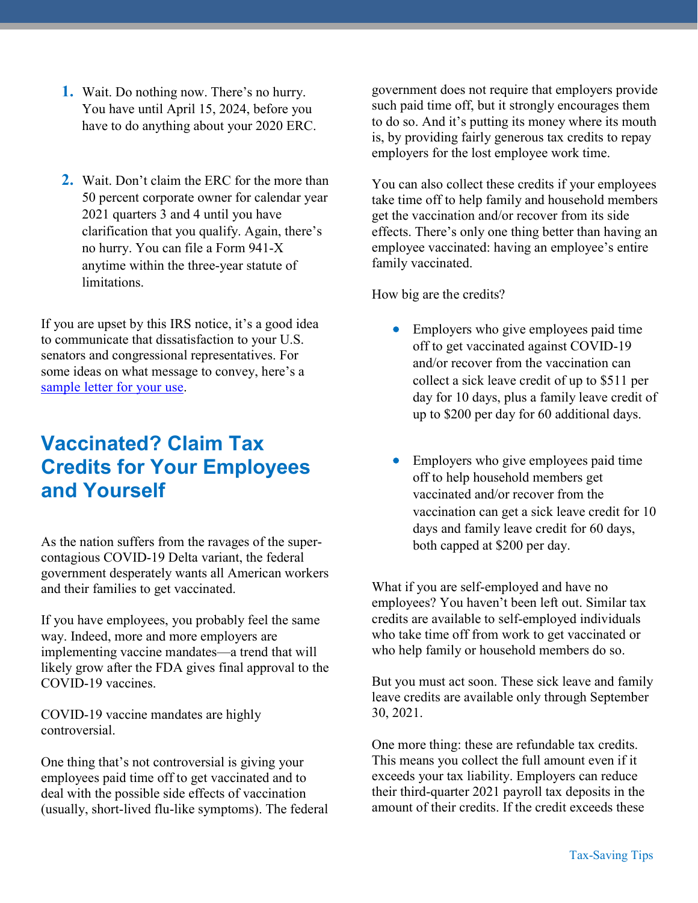- 1. Wait. Do nothing now. There's no hurry. You have until April 15, 2024, before you have to do anything about your 2020 ERC.
- 2. Wait. Don't claim the ERC for the more than 50 percent corporate owner for calendar year 2021 quarters 3 and 4 until you have clarification that you qualify. Again, there's no hurry. You can file a Form 941-X anytime within the three-year statute of limitations.

If you are upset by this IRS notice, it's a good idea to communicate that dissatisfaction to your U.S. senators and congressional representatives. For some ideas on what message to convey, here's a sample letter for your use.

### Vaccinated? Claim Tax Credits for Your Employees and Yourself

As the nation suffers from the ravages of the supercontagious COVID-19 Delta variant, the federal government desperately wants all American workers and their families to get vaccinated.

If you have employees, you probably feel the same way. Indeed, more and more employers are implementing vaccine mandates—a trend that will likely grow after the FDA gives final approval to the COVID-19 vaccines.

COVID-19 vaccine mandates are highly controversial.

One thing that's not controversial is giving your employees paid time off to get vaccinated and to deal with the possible side effects of vaccination (usually, short-lived flu-like symptoms). The federal government does not require that employers provide such paid time off, but it strongly encourages them to do so. And it's putting its money where its mouth is, by providing fairly generous tax credits to repay employers for the lost employee work time.

You can also collect these credits if your employees take time off to help family and household members get the vaccination and/or recover from its side effects. There's only one thing better than having an employee vaccinated: having an employee's entire family vaccinated.

How big are the credits?

- Employers who give employees paid time off to get vaccinated against COVID-19 and/or recover from the vaccination can collect a sick leave credit of up to \$511 per day for 10 days, plus a family leave credit of up to \$200 per day for 60 additional days.
- Employers who give employees paid time off to help household members get vaccinated and/or recover from the vaccination can get a sick leave credit for 10 days and family leave credit for 60 days, both capped at \$200 per day.

What if you are self-employed and have no employees? You haven't been left out. Similar tax credits are available to self-employed individuals who take time off from work to get vaccinated or who help family or household members do so.

But you must act soon. These sick leave and family leave credits are available only through September 30, 2021.

One more thing: these are refundable tax credits. This means you collect the full amount even if it exceeds your tax liability. Employers can reduce their third-quarter 2021 payroll tax deposits in the amount of their credits. If the credit exceeds these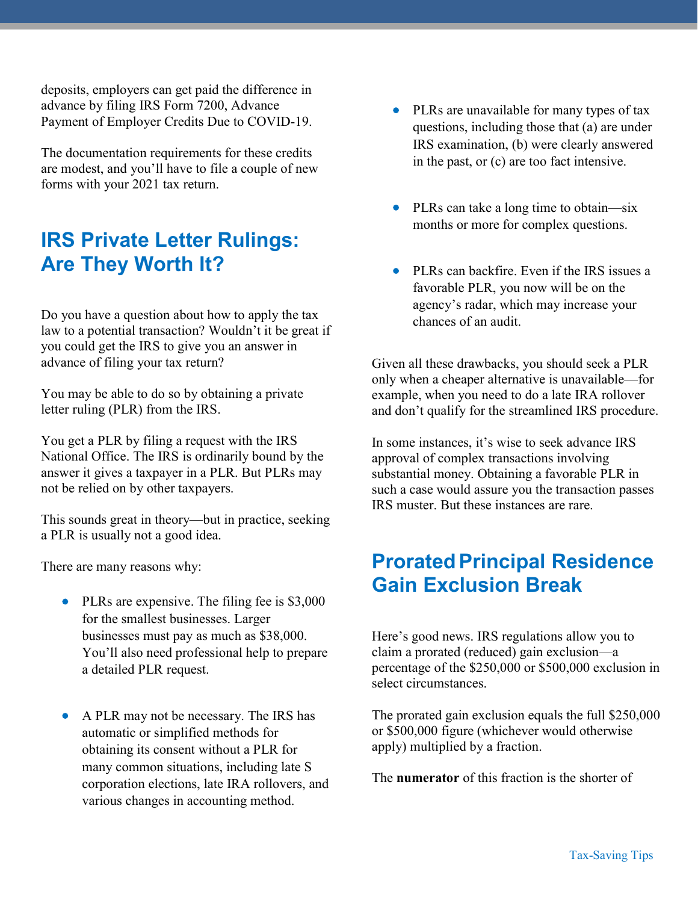deposits, employers can get paid the difference in advance by filing IRS Form 7200, Advance Payment of Employer Credits Due to COVID-19.

The documentation requirements for these credits are modest, and you'll have to file a couple of new forms with your 2021 tax return.

## IRS Private Letter Rulings: Are They Worth It?

Do you have a question about how to apply the tax law to a potential transaction? Wouldn't it be great if you could get the IRS to give you an answer in advance of filing your tax return?

You may be able to do so by obtaining a private letter ruling (PLR) from the IRS.

You get a PLR by filing a request with the IRS National Office. The IRS is ordinarily bound by the answer it gives a taxpayer in a PLR. But PLRs may not be relied on by other taxpayers.

This sounds great in theory—but in practice, seeking a PLR is usually not a good idea.

There are many reasons why:

- PLRs are expensive. The filing fee is \$3,000 for the smallest businesses. Larger businesses must pay as much as \$38,000. You'll also need professional help to prepare a detailed PLR request.
- A PLR may not be necessary. The IRS has automatic or simplified methods for obtaining its consent without a PLR for many common situations, including late S corporation elections, late IRA rollovers, and various changes in accounting method.
- PLRs are unavailable for many types of tax questions, including those that (a) are under IRS examination, (b) were clearly answered in the past, or (c) are too fact intensive.
- PLRs can take a long time to obtain—six months or more for complex questions.
- PLRs can backfire. Even if the IRS issues a favorable PLR, you now will be on the agency's radar, which may increase your chances of an audit.

Given all these drawbacks, you should seek a PLR only when a cheaper alternative is unavailable—for example, when you need to do a late IRA rollover and don't qualify for the streamlined IRS procedure.

In some instances, it's wise to seek advance IRS approval of complex transactions involving substantial money. Obtaining a favorable PLR in such a case would assure you the transaction passes IRS muster. But these instances are rare.

## **Prorated Principal Residence** Gain Exclusion Break

Here's good news. IRS regulations allow you to claim a prorated (reduced) gain exclusion—a percentage of the \$250,000 or \$500,000 exclusion in select circumstances.

The prorated gain exclusion equals the full \$250,000 or \$500,000 figure (whichever would otherwise apply) multiplied by a fraction.

The **numerator** of this fraction is the shorter of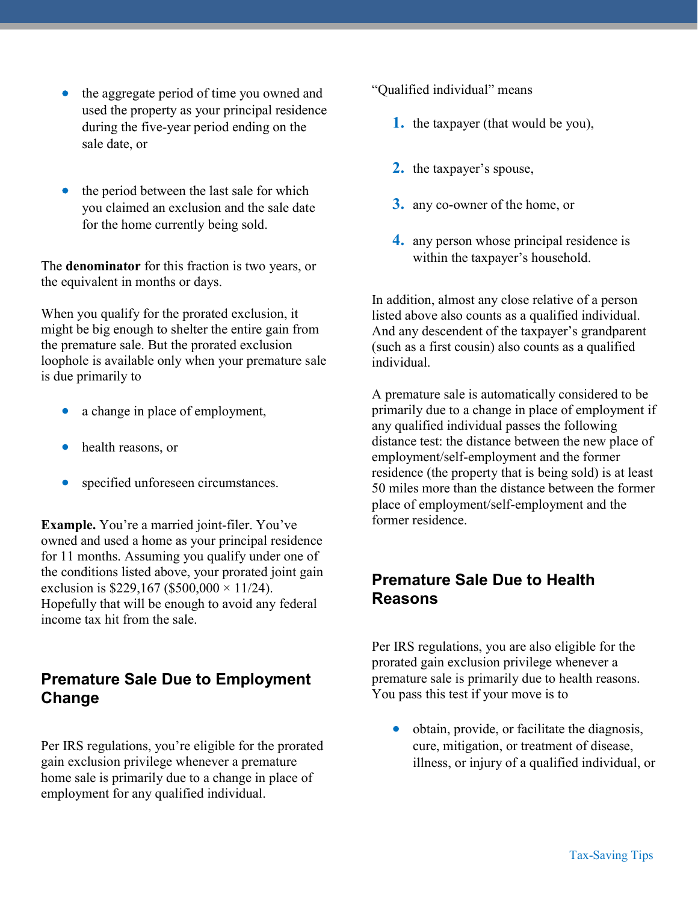- the aggregate period of time you owned and used the property as your principal residence during the five-year period ending on the sale date, or
- the period between the last sale for which you claimed an exclusion and the sale date for the home currently being sold.

The denominator for this fraction is two years, or the equivalent in months or days.

When you qualify for the prorated exclusion, it might be big enough to shelter the entire gain from the premature sale. But the prorated exclusion loophole is available only when your premature sale is due primarily to

- a change in place of employment,
- health reasons, or
- specified unforeseen circumstances.

Example. You're a married joint-filer. You've owned and used a home as your principal residence for 11 months. Assuming you qualify under one of the conditions listed above, your prorated joint gain exclusion is \$229,167 (\$500,000  $\times$  11/24). Hopefully that will be enough to avoid any federal income tax hit from the sale.

#### Premature Sale Due to Employment **Change**

Per IRS regulations, you're eligible for the prorated gain exclusion privilege whenever a premature home sale is primarily due to a change in place of employment for any qualified individual.

"Qualified individual" means

- 1. the taxpayer (that would be you),
- 2. the taxpayer's spouse,
- 3. any co-owner of the home, or
- 4. any person whose principal residence is within the taxpayer's household.

In addition, almost any close relative of a person listed above also counts as a qualified individual. And any descendent of the taxpayer's grandparent (such as a first cousin) also counts as a qualified individual.

A premature sale is automatically considered to be primarily due to a change in place of employment if any qualified individual passes the following distance test: the distance between the new place of employment/self-employment and the former residence (the property that is being sold) is at least 50 miles more than the distance between the former place of employment/self-employment and the former residence.

#### Premature Sale Due to Health Reasons

Per IRS regulations, you are also eligible for the prorated gain exclusion privilege whenever a premature sale is primarily due to health reasons. You pass this test if your move is to

 obtain, provide, or facilitate the diagnosis, cure, mitigation, or treatment of disease, illness, or injury of a qualified individual, or